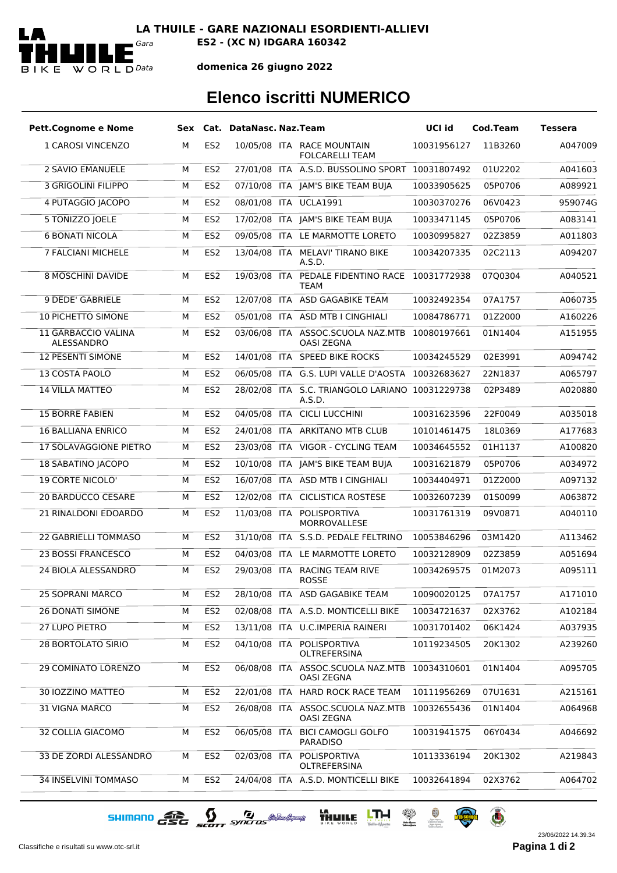

## **domenica 26 giugno 2022**

## **Elenco iscritti NUMERICO**

| <b>Pett.Cognome e Nome</b>        |   |                 | Sex Cat. DataNasc. Naz.Team |                                                        | UCI id      | Cod.Team | <b>Tessera</b> |
|-----------------------------------|---|-----------------|-----------------------------|--------------------------------------------------------|-------------|----------|----------------|
| 1 CAROSI VINCENZO                 | м | ES <sub>2</sub> |                             | 10/05/08 ITA RACE MOUNTAIN<br><b>FOLCARELLI TEAM</b>   | 10031956127 | 11B3260  | A047009        |
| <b>2 SAVIO EMANUELE</b>           | M | ES <sub>2</sub> |                             | 27/01/08 ITA A.S.D. BUSSOLINO SPORT 10031807492        |             | 01U2202  | A041603        |
| 3 GRIGOLINI FILIPPO               | м | ES <sub>2</sub> |                             | 07/10/08 ITA JAM'S BIKE TEAM BUJA                      | 10033905625 | 05P0706  | A089921        |
| 4 PUTAGGIO JACOPO                 | М | ES <sub>2</sub> |                             | 08/01/08 ITA UCLA1991                                  | 10030370276 | 06V0423  | 959074G        |
| 5 TONIZZO JOELE                   | М | ES <sub>2</sub> |                             | 17/02/08 ITA JAM'S BIKE TEAM BUJA                      | 10033471145 | 05P0706  | A083141        |
| <b>6 BONATI NICOLA</b>            | м | ES <sub>2</sub> |                             | 09/05/08 ITA LE MARMOTTE LORETO                        | 10030995827 | 02Z3859  | A011803        |
| <b>7 FALCIANI MICHELE</b>         | м | ES <sub>2</sub> | 13/04/08 ITA                | <b>MELAVI' TIRANO BIKE</b><br>A.S.D.                   | 10034207335 | 02C2113  | A094207        |
| <b>8 MOSCHINI DAVIDE</b>          | М | ES <sub>2</sub> | 19/03/08 ITA                | PEDALE FIDENTINO RACE 10031772938<br>TEAM              |             | 07Q0304  | A040521        |
| 9 DEDE' GABRIELE                  | м | ES <sub>2</sub> |                             | 12/07/08 ITA ASD GAGABIKE TEAM                         | 10032492354 | 07A1757  | A060735        |
| <b>10 PICHETTO SIMONE</b>         | м | ES <sub>2</sub> |                             | 05/01/08 ITA ASD MTB I CINGHIALI                       | 10084786771 | 01Z2000  | A160226        |
| 11 GARBACCIO VALINA<br>ALESSANDRO | M | ES <sub>2</sub> |                             | 03/06/08 ITA ASSOC.SCUOLA NAZ.MTB<br><b>OASI ZEGNA</b> | 10080197661 | 01N1404  | A151955        |
| <b>12 PESENTI SIMONE</b>          | м | ES <sub>2</sub> |                             | 14/01/08 ITA SPEED BIKE ROCKS                          | 10034245529 | 02E3991  | A094742        |
| 13 COSTA PAOLO                    | M | ES <sub>2</sub> |                             | 06/05/08 ITA G.S. LUPI VALLE D'AOSTA 10032683627       |             | 22N1837  | A065797        |
| <b>14 VILLA MATTEO</b>            | M | ES <sub>2</sub> | 28/02/08 ITA                | S.C. TRIANGOLO LARIANO 10031229738<br>A.S.D.           |             | 02P3489  | A020880        |
| <b>15 BORRE FABIEN</b>            | M | ES <sub>2</sub> |                             | 04/05/08 ITA CICLI LUCCHINI                            | 10031623596 | 22F0049  | A035018        |
| <b>16 BALLIANA ENRICO</b>         | М | ES <sub>2</sub> |                             | 24/01/08 ITA ARKITANO MTB CLUB                         | 10101461475 | 18L0369  | A177683        |
| 17 SOLAVAGGIONE PIETRO            | м | ES <sub>2</sub> |                             | 23/03/08 ITA VIGOR - CYCLING TEAM                      | 10034645552 | 01H1137  | A100820        |
| 18 SABATINO JACOPO                | M | ES <sub>2</sub> |                             | 10/10/08 ITA JAM'S BIKE TEAM BUJA                      | 10031621879 | 05P0706  | A034972        |
| <b>19 CORTE NICOLO'</b>           | М | ES <sub>2</sub> |                             | 16/07/08 ITA ASD MTB I CINGHIALI                       | 10034404971 | 01Z2000  | A097132        |
| <b>20 BARDUCCO CESARE</b>         | м | ES <sub>2</sub> |                             | 12/02/08 ITA CICLISTICA ROSTESE                        | 10032607239 | 01S0099  | A063872        |
| 21 RINALDONI EDOARDO              | M | ES <sub>2</sub> | 11/03/08 ITA                | POLISPORTIVA<br>MORROVALLESE                           | 10031761319 | 09V0871  | A040110        |
| <b>22 GABRIELLI TOMMASO</b>       | М | ES <sub>2</sub> |                             | 31/10/08 ITA S.S.D. PEDALE FELTRINO                    | 10053846296 | 03M1420  | A113462        |
| 23 BOSSI FRANCESCO                | м | ES <sub>2</sub> |                             | 04/03/08 ITA LE MARMOTTE LORETO                        | 10032128909 | 02Z3859  | A051694        |
| <b>24 BIOLA ALESSANDRO</b>        | м | ES <sub>2</sub> |                             | 29/03/08 ITA RACING TEAM RIVE<br><b>ROSSE</b>          | 10034269575 | 01M2073  | A095111        |
| <b>25 SOPRANI MARCO</b>           | М | ES <sub>2</sub> |                             | 28/10/08 ITA ASD GAGABIKE TEAM                         | 10090020125 | 07A1757  | A171010        |
| <b>26 DONATI SIMONE</b>           | М | ES <sub>2</sub> |                             | 02/08/08 ITA A.S.D. MONTICELLI BIKE                    | 10034721637 | 02X3762  | A102184        |
| 27 LUPO PIETRO                    | м | ES <sub>2</sub> |                             | 13/11/08 ITA U.C.IMPERIA RAINERI                       | 10031701402 | 06K1424  | A037935        |
| 28 BORTOLATO SIRIO                | М | ES <sub>2</sub> | 04/10/08 ITA                | POLISPORTIVA<br>OLTREFERSINA                           | 10119234505 | 20K1302  | A239260        |
| 29 COMINATO LORENZO               | M | ES <sub>2</sub> |                             | 06/08/08 ITA ASSOC.SCUOLA NAZ.MTB<br><b>OASI ZEGNA</b> | 10034310601 | 01N1404  | A095705        |
| <b>30 IOZZINO MATTEO</b>          | м | ES <sub>2</sub> |                             | 22/01/08 ITA HARD ROCK RACE TEAM                       | 10111956269 | 07U1631  | A215161        |
| 31 VIGNA MARCO                    | м | ES <sub>2</sub> |                             | 26/08/08 ITA ASSOC.SCUOLA NAZ.MTB<br><b>OASI ZEGNA</b> | 10032655436 | 01N1404  | A064968        |
| 32 COLLIA GIACOMO                 | М | ES <sub>2</sub> | 06/05/08 ITA                | <b>BICI CAMOGLI GOLFO</b><br>PARADISO                  | 10031941575 | 06Y0434  | A046692        |
| 33 DE ZORDI ALESSANDRO            | M | ES <sub>2</sub> | 02/03/08 ITA                | POLISPORTIVA<br>OLTREFERSINA                           | 10113336194 | 20K1302  | A219843        |
| 34 INSELVINI TOMMASO              | М | ES <sub>2</sub> |                             | 24/04/08 ITA A.S.D. MONTICELLI BIKE                    | 10032641894 | 02X3762  | A064702        |

SHIMANO CEC SCOTT SYNCTOS @ MARIANA HALL LINE & A O

Classifiche e risultati su www.otc-srl.it **Pagina 1 di**

23/06/2022 14.39.34